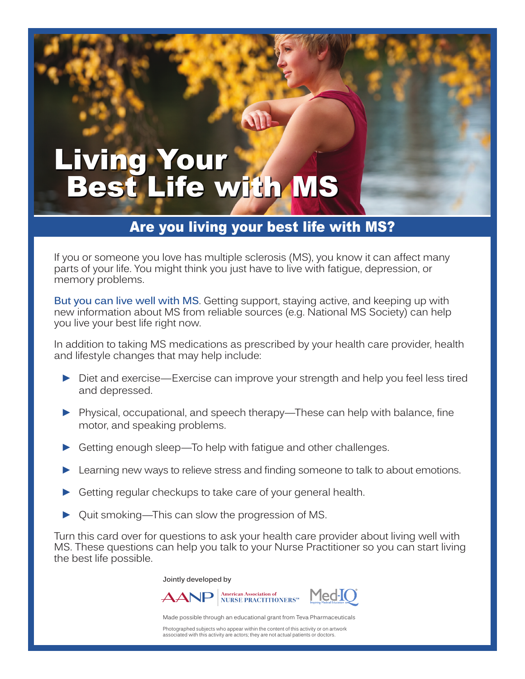## Living Your Best Life with MS

## Are you living your best life with MS?

If you or someone you love has multiple sclerosis (MS), you know it can affect many parts of your life. You might think you just have to live with fatigue, depression, or memory problems.

**But you can live well with MS**. Getting support, staying active, and keeping up with new information about MS from reliable sources (e.g. National MS Society) can help you live your best life right now.

In addition to taking MS medications as prescribed by your health care provider, health and lifestyle changes that may help include:

- ► Diet and exercise—Exercise can improve your strength and help you feel less tired and depressed.
- ► Physical, occupational, and speech therapy—These can help with balance, fine motor, and speaking problems.
- Getting enough sleep—To help with fatigue and other challenges.
- Learning new ways to relieve stress and finding someone to talk to about emotions.
- Getting regular checkups to take care of your general health.
- Quit smoking—This can slow the progression of MS.

Turn this card over for questions to ask your health care provider about living well with MS. These questions can help you talk to your Nurse Practitioner so you can start living the best life possible.

**Jointly developed by**



Made possible through an educational grant from Teva Pharmaceuticals

Photographed subjects who appear within the content of this activity or on artwork associated with this activity are actors; they are not actual patients or doctors.

**American Association of**